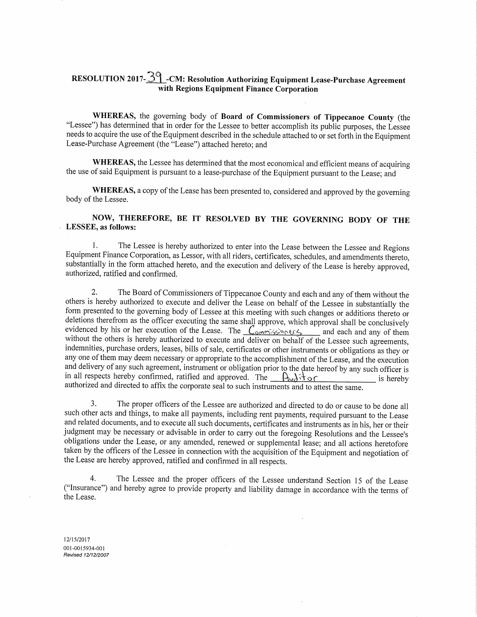## RESOLUTION 2017- $\frac{39}{10}$  -CM: Resolution Authorizing Equipment Lease-Purchase Agreement with Regions Equipment Finance Corporation

WHEREAS, the governing body of Board of Commissioners of Tippecanoe County (the "Lessee") has determined that in order for the Lessee to better accomplish its public purposes, the Lessee needs to acquire the use of the Equipment described in the schedule attached to or set forth in the Equipment Lease-Purchase Agreement (the "Lease") attached hereto; and

WHEREAS, the Lessee has determined that the most economical and efficient means of acquiring the use of said Equipment is pursuant to <sup>a</sup> lease-purchase of the Equipment pursuant to the Lease; and

WHEREAS, a copy of the Lease has been presented to, considered and approved by the governing body of the Lessee.

NOW, THEREFORE, BE IT RESOLVED BY THE GOVERNING BODY OF THE . LESSEE, as follows:

1. The Lessee is hereby authorized to enter into the Lease between the Lessee and Regions Equipment Finance Corporation, as Lessor, with all riders, certificates, schedules, and amendments thereto, substantially in the for

2. The Board of Commissioners of Tippecanoe County and each and any of them without the others is hereby authorized to execute and deliver the Lease on behalf of the Lessee in substantially the form presented to the governing body of Lessee at this meeting with such changes or additions thereto or deletions therefrom as the officer executing the same shall approve, which approval shall be conclusively evidenced by his or her execution of the Lease. The  $\mathcal{L}_{\text{conv-5}}$  and each and any of them without the others is hereby authorized to execute and deliver on behalf of the Lessee such agreements, indemnities, purchase orders, leases, bills of sale, certificates orother instruments or obligations as they or any one of them may deem necessary or appropriate to the accomplishment of the Lease, and the execution and delivery of any such agreement, instrument or obligation prior to the date hereof by any such officer is in all respects hereby confirmed, ratified and approved. The  $A_0 \wedge A_0 \wedge A_1$  is hereby in all respects hereby confirmed, ratified and approved. The  $H_0$   $\rightarrow$   $\rightarrow$   $\rightarrow$   $\rightarrow$   $\rightarrow$  is hereby authorized and directed to affix the corporate seal to such instruments and to attest the same.

3. The proper officers of the Lessee are authorized and directed to do or cause to be done all such other acts and things, to make all payments, including rent payments, required pursuant to the Lease and related documents, and to execute all such documents, certificates and instruments as in his, her or their judgment may be necessary or advisable in order to carry out the foregoing Resolutions and the Lessee's obligations under the Lease, or any amended, renewed or supplemental lease; and all actions heretofore taken by the officers of the Lessee in connection with the acquisition of the Equipment and negotiation of the Lease are hereby approved, ratified and confirmed in all respects.

4. The Lessee and the proper officers of the Lessee understand Seetion <sup>15</sup> of the Lease ("Insurance") and hereby agree to provide property and liability damage in accordance with the terms of the Lease.

12/15/2017 001-0015934—001 Revised 12/12/2007